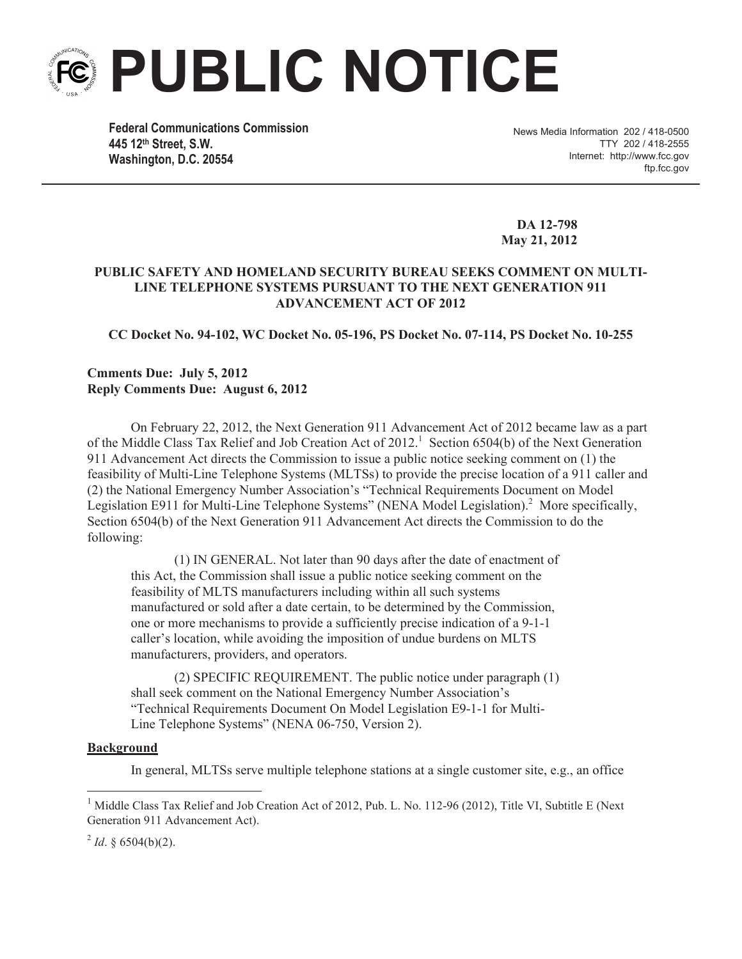# **PUBLIC NOTICE**

**Federal Communications Commission 445 12th Street, S.W. Washington, D.C. 20554**

News Media Information 202 / 418-0500 TTY 202 / 418-2555 Internet: http://www.fcc.gov ftp.fcc.gov

**DA 12-798 May 21, 2012**

# **PUBLIC SAFETY AND HOMELAND SECURITY BUREAU SEEKS COMMENT ON MULTI-LINE TELEPHONE SYSTEMS PURSUANT TO THE NEXT GENERATION 911 ADVANCEMENT ACT OF 2012**

**CC Docket No. 94-102, WC Docket No. 05-196, PS Docket No. 07-114, PS Docket No. 10-255** 

# **Cmments Due: July 5, 2012 Reply Comments Due: August 6, 2012**

On February 22, 2012, the Next Generation 911 Advancement Act of 2012 became law as a part of the Middle Class Tax Relief and Job Creation Act of 2012.<sup>1</sup> Section 6504(b) of the Next Generation 911 Advancement Act directs the Commission to issue a public notice seeking comment on (1) the feasibility of Multi-Line Telephone Systems (MLTSs) to provide the precise location of a 911 caller and (2) the National Emergency Number Association's "Technical Requirements Document on Model Legislation E911 for Multi-Line Telephone Systems" (NENA Model Legislation).<sup>2</sup> More specifically, Section 6504(b) of the Next Generation 911 Advancement Act directs the Commission to do the following:

(1) IN GENERAL. Not later than 90 days after the date of enactment of this Act, the Commission shall issue a public notice seeking comment on the feasibility of MLTS manufacturers including within all such systems manufactured or sold after a date certain, to be determined by the Commission, one or more mechanisms to provide a sufficiently precise indication of a 9-1-1 caller's location, while avoiding the imposition of undue burdens on MLTS manufacturers, providers, and operators.

(2) SPECIFIC REQUIREMENT. The public notice under paragraph (1) shall seek comment on the National Emergency Number Association's "Technical Requirements Document On Model Legislation E9-1-1 for Multi-Line Telephone Systems" (NENA 06-750, Version 2).

### **Background**

In general, MLTSs serve multiple telephone stations at a single customer site, e.g., an office

 $^{2}$  *Id*. § 6504(b)(2).

<sup>&</sup>lt;sup>1</sup> Middle Class Tax Relief and Job Creation Act of 2012, Pub. L. No. 112-96 (2012), Title VI, Subtitle E (Next Generation 911 Advancement Act).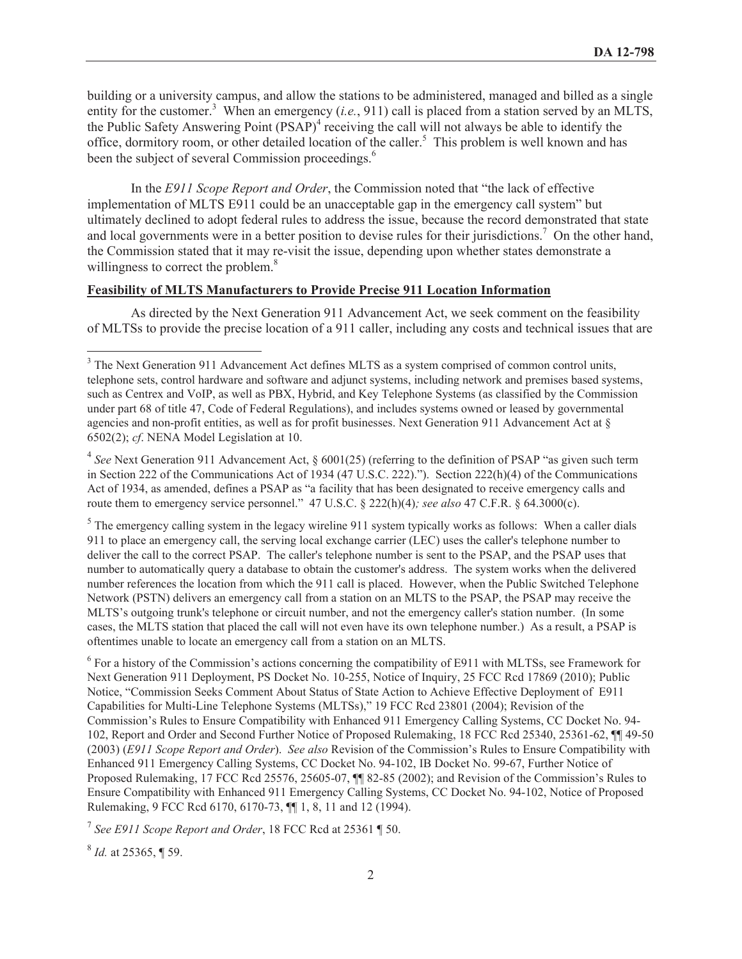building or a university campus, and allow the stations to be administered, managed and billed as a single entity for the customer.<sup>3</sup> When an emergency (*i.e.*, 911) call is placed from a station served by an MLTS, the Public Safety Answering Point (PSAP)<sup>4</sup> receiving the call will not always be able to identify the office, dormitory room, or other detailed location of the caller.<sup>5</sup> This problem is well known and has been the subject of several Commission proceedings.<sup>6</sup>

In the *E911 Scope Report and Order*, the Commission noted that "the lack of effective implementation of MLTS E911 could be an unacceptable gap in the emergency call system" but ultimately declined to adopt federal rules to address the issue, because the record demonstrated that state and local governments were in a better position to devise rules for their jurisdictions.<sup>7</sup> On the other hand, the Commission stated that it may re-visit the issue, depending upon whether states demonstrate a willingness to correct the problem.<sup>8</sup>

### **Feasibility of MLTS Manufacturers to Provide Precise 911 Location Information**

As directed by the Next Generation 911 Advancement Act, we seek comment on the feasibility of MLTSs to provide the precise location of a 911 caller, including any costs and technical issues that are

 $<sup>5</sup>$  The emergency calling system in the legacy wireline 911 system typically works as follows: When a caller dials</sup> 911 to place an emergency call, the serving local exchange carrier (LEC) uses the caller's telephone number to deliver the call to the correct PSAP. The caller's telephone number is sent to the PSAP, and the PSAP uses that number to automatically query a database to obtain the customer's address. The system works when the delivered number references the location from which the 911 call is placed. However, when the Public Switched Telephone Network (PSTN) delivers an emergency call from a station on an MLTS to the PSAP, the PSAP may receive the MLTS's outgoing trunk's telephone or circuit number, and not the emergency caller's station number. (In some cases, the MLTS station that placed the call will not even have its own telephone number.) As a result, a PSAP is oftentimes unable to locate an emergency call from a station on an MLTS.

<sup>6</sup> For a history of the Commission's actions concerning the compatibility of E911 with MLTSs, see Framework for Next Generation 911 Deployment, PS Docket No. 10-255, Notice of Inquiry, 25 FCC Rcd 17869 (2010); Public Notice, "Commission Seeks Comment About Status of State Action to Achieve Effective Deployment of E911 Capabilities for Multi-Line Telephone Systems (MLTSs)," 19 FCC Rcd 23801 (2004); Revision of the Commission's Rules to Ensure Compatibility with Enhanced 911 Emergency Calling Systems, CC Docket No. 94- 102, Report and Order and Second Further Notice of Proposed Rulemaking, 18 FCC Rcd 25340, 25361-62, ¶¶ 49-50 (2003) (*E911 Scope Report and Order*). *See also* Revision of the Commission's Rules to Ensure Compatibility with Enhanced 911 Emergency Calling Systems, CC Docket No. 94-102, IB Docket No. 99-67, Further Notice of Proposed Rulemaking, 17 FCC Rcd 25576, 25605-07, ¶¶ 82-85 (2002); and Revision of the Commission's Rules to Ensure Compatibility with Enhanced 911 Emergency Calling Systems, CC Docket No. 94-102, Notice of Proposed Rulemaking, 9 FCC Rcd 6170, 6170-73, ¶¶ 1, 8, 11 and 12 (1994).

7 *See E911 Scope Report and Order*, 18 FCC Rcd at 25361 ¶ 50.

8 *Id.* at 25365, ¶ 59.

<sup>&</sup>lt;sup>3</sup> The Next Generation 911 Advancement Act defines MLTS as a system comprised of common control units, telephone sets, control hardware and software and adjunct systems, including network and premises based systems, such as Centrex and VoIP, as well as PBX, Hybrid, and Key Telephone Systems (as classified by the Commission under part 68 of title 47, Code of Federal Regulations), and includes systems owned or leased by governmental agencies and non-profit entities, as well as for profit businesses. Next Generation 911 Advancement Act at § 6502(2); *cf*. NENA Model Legislation at 10.

<sup>&</sup>lt;sup>4</sup> See Next Generation 911 Advancement Act, § 6001(25) (referring to the definition of PSAP "as given such term in Section 222 of the Communications Act of 1934 (47 U.S.C. 222)."). Section 222(h)(4) of the Communications Act of 1934, as amended, defines a PSAP as "a facility that has been designated to receive emergency calls and route them to emergency service personnel." 47 U.S.C. § 222(h)(4); see also 47 C.F.R. § 64.3000(c).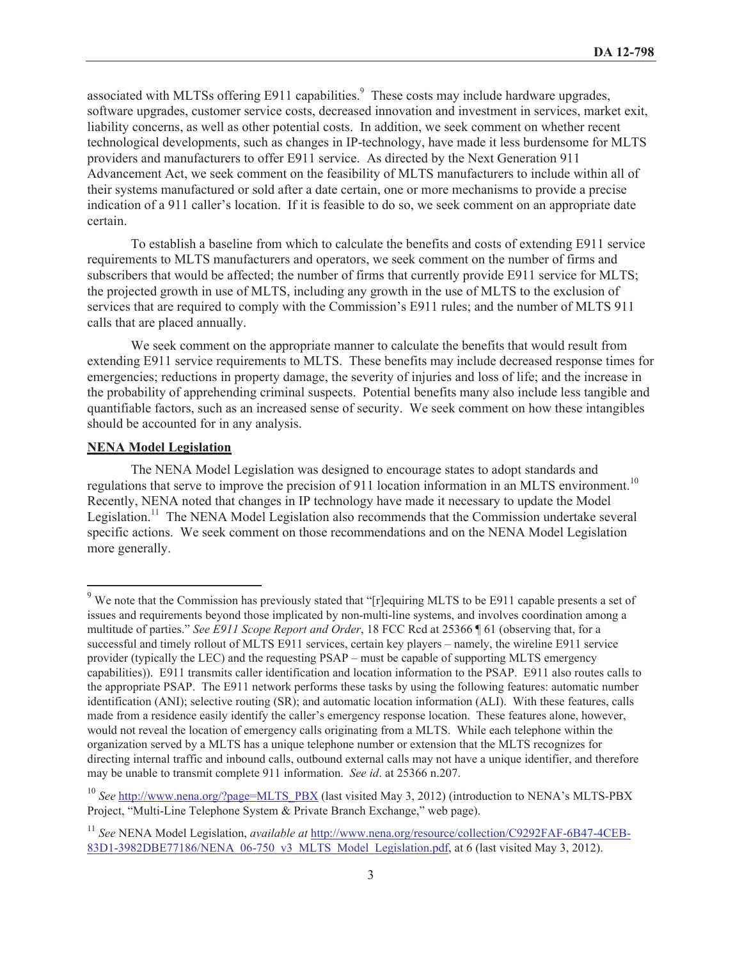associated with MLTSs offering E911 capabilities.<sup>9</sup> These costs may include hardware upgrades, software upgrades, customer service costs, decreased innovation and investment in services, market exit, liability concerns, as well as other potential costs. In addition, we seek comment on whether recent technological developments, such as changes in IP-technology, have made it less burdensome for MLTS providers and manufacturers to offer E911 service. As directed by the Next Generation 911 Advancement Act, we seek comment on the feasibility of MLTS manufacturers to include within all of their systems manufactured or sold after a date certain, one or more mechanisms to provide a precise indication of a 911 caller's location. If it is feasible to do so, we seek comment on an appropriate date certain.

To establish a baseline from which to calculate the benefits and costs of extending E911 service requirements to MLTS manufacturers and operators, we seek comment on the number of firms and subscribers that would be affected; the number of firms that currently provide E911 service for MLTS; the projected growth in use of MLTS, including any growth in the use of MLTS to the exclusion of services that are required to comply with the Commission's E911 rules; and the number of MLTS 911 calls that are placed annually.

We seek comment on the appropriate manner to calculate the benefits that would result from extending E911 service requirements to MLTS. These benefits may include decreased response times for emergencies; reductions in property damage, the severity of injuries and loss of life; and the increase in the probability of apprehending criminal suspects. Potential benefits many also include less tangible and quantifiable factors, such as an increased sense of security. We seek comment on how these intangibles should be accounted for in any analysis.

#### **NENA Model Legislation**

The NENA Model Legislation was designed to encourage states to adopt standards and regulations that serve to improve the precision of 911 location information in an MLTS environment.<sup>10</sup> Recently, NENA noted that changes in IP technology have made it necessary to update the Model Legislation.<sup>11</sup> The NENA Model Legislation also recommends that the Commission undertake several specific actions. We seek comment on those recommendations and on the NENA Model Legislation more generally.

<sup>&</sup>lt;sup>9</sup> We note that the Commission has previously stated that "[r]equiring MLTS to be E911 capable presents a set of issues and requirements beyond those implicated by non-multi-line systems, and involves coordination among a multitude of parties." *See E911 Scope Report and Order*, 18 FCC Rcd at 25366 ¶ 61 (observing that, for a successful and timely rollout of MLTS E911 services, certain key players – namely, the wireline E911 service provider (typically the LEC) and the requesting PSAP – must be capable of supporting MLTS emergency capabilities)). E911 transmits caller identification and location information to the PSAP. E911 also routes calls to the appropriate PSAP. The E911 network performs these tasks by using the following features: automatic number identification (ANI); selective routing (SR); and automatic location information (ALI). With these features, calls made from a residence easily identify the caller's emergency response location. These features alone, however, would not reveal the location of emergency calls originating from a MLTS. While each telephone within the organization served by a MLTS has a unique telephone number or extension that the MLTS recognizes for directing internal traffic and inbound calls, outbound external calls may not have a unique identifier, and therefore may be unable to transmit complete 911 information. *See id*. at 25366 n.207.

<sup>&</sup>lt;sup>10</sup> See http://www.nena.org/?page=MLTS\_PBX (last visited May 3, 2012) (introduction to NENA's MLTS-PBX Project, "Multi-Line Telephone System & Private Branch Exchange," web page).

<sup>11</sup> *See* NENA Model Legislation, *available at* http://www.nena.org/resource/collection/C9292FAF-6B47-4CEB-83D1-3982DBE77186/NENA\_06-750\_v3\_MLTS\_Model\_Legislation.pdf, at 6 (last visited May 3, 2012).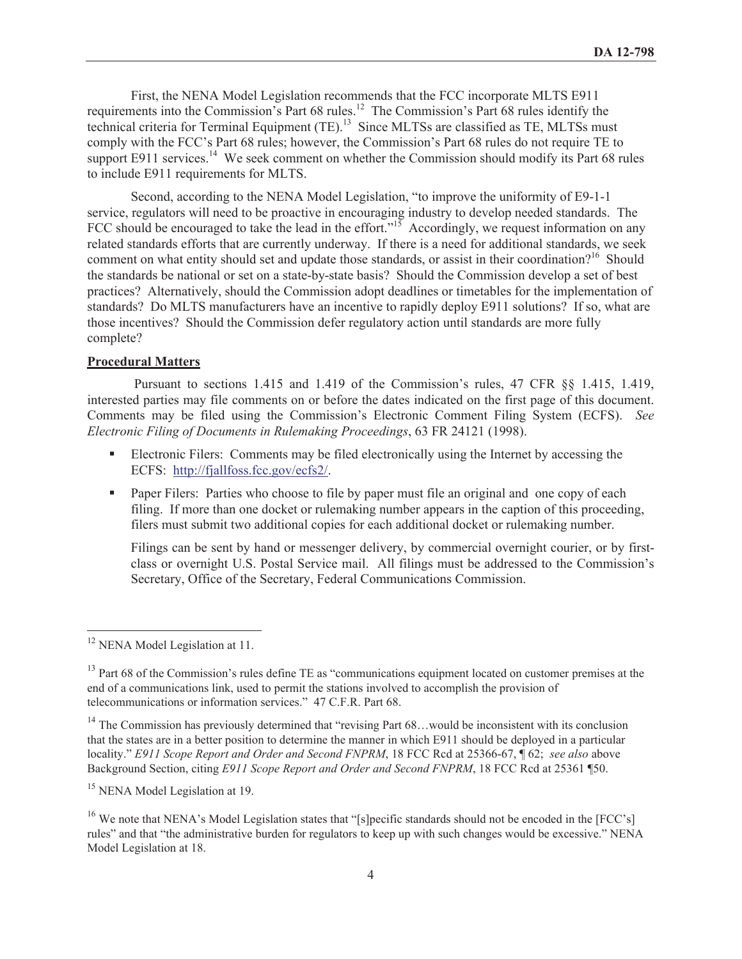First, the NENA Model Legislation recommends that the FCC incorporate MLTS E911 requirements into the Commission's Part 68 rules.<sup>12</sup> The Commission's Part 68 rules identify the technical criteria for Terminal Equipment (TE).<sup>13</sup> Since MLTSs are classified as TE, MLTSs must comply with the FCC's Part 68 rules; however, the Commission's Part 68 rules do not require TE to support E911 services.<sup>14</sup> We seek comment on whether the Commission should modify its Part 68 rules to include E911 requirements for MLTS.

Second, according to the NENA Model Legislation, "to improve the uniformity of E9-1-1 service, regulators will need to be proactive in encouraging industry to develop needed standards. The FCC should be encouraged to take the lead in the effort."<sup>15</sup> Accordingly, we request information on any related standards efforts that are currently underway. If there is a need for additional standards, we seek comment on what entity should set and update those standards, or assist in their coordination?<sup>16</sup> Should the standards be national or set on a state-by-state basis? Should the Commission develop a set of best practices? Alternatively, should the Commission adopt deadlines or timetables for the implementation of standards? Do MLTS manufacturers have an incentive to rapidly deploy E911 solutions? If so, what are those incentives? Should the Commission defer regulatory action until standards are more fully complete?

#### **Procedural Matters**

Pursuant to sections 1.415 and 1.419 of the Commission's rules, 47 CFR §§ 1.415, 1.419, interested parties may file comments on or before the dates indicated on the first page of this document. Comments may be filed using the Commission's Electronic Comment Filing System (ECFS). *See Electronic Filing of Documents in Rulemaking Proceedings*, 63 FR 24121 (1998).

- Electronic Filers: Comments may be filed electronically using the Internet by accessing the ECFS: http://fjallfoss.fcc.gov/ecfs2/.
- Paper Filers: Parties who choose to file by paper must file an original and one copy of each filing. If more than one docket or rulemaking number appears in the caption of this proceeding, filers must submit two additional copies for each additional docket or rulemaking number.

Filings can be sent by hand or messenger delivery, by commercial overnight courier, or by firstclass or overnight U.S. Postal Service mail. All filings must be addressed to the Commission's Secretary, Office of the Secretary, Federal Communications Commission.

<sup>&</sup>lt;sup>12</sup> NENA Model Legislation at 11.

<sup>&</sup>lt;sup>13</sup> Part 68 of the Commission's rules define TE as "communications equipment located on customer premises at the end of a communications link, used to permit the stations involved to accomplish the provision of telecommunications or information services." 47 C.F.R. Part 68.

 $14$  The Commission has previously determined that "revising Part 68...would be inconsistent with its conclusion that the states are in a better position to determine the manner in which E911 should be deployed in a particular locality." *E911 Scope Report and Order and Second FNPRM*, 18 FCC Rcd at 25366-67, ¶ 62; *see also* above Background Section, citing *E911 Scope Report and Order and Second FNPRM*, 18 FCC Rcd at 25361 ¶50.

<sup>&</sup>lt;sup>15</sup> NENA Model Legislation at 19.

<sup>&</sup>lt;sup>16</sup> We note that NENA's Model Legislation states that "[s]pecific standards should not be encoded in the [FCC's] rules" and that "the administrative burden for regulators to keep up with such changes would be excessive." NENA Model Legislation at 18.